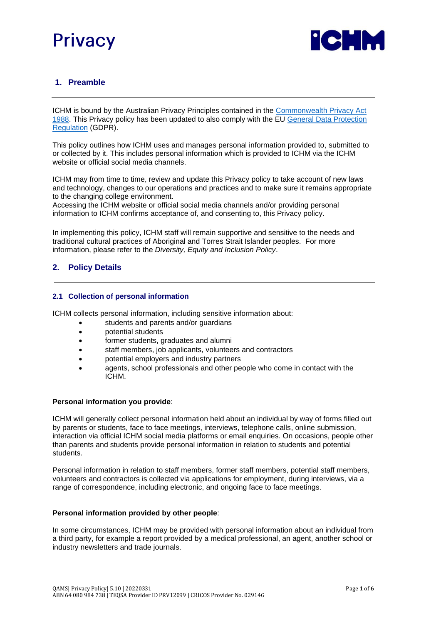



# **1. Preamble**

ICHM is bound by the Australian Privacy Principles contained in the [Commonwealth Privacy Act](https://www.legislation.gov.au/Details/C2021C00139) [1988.](https://www.legislation.gov.au/Details/C2021C00139) This Privacy policy has been updated to also comply with the EU [General Data Protection](https://gdpr-info.eu/)  [Regulation](https://gdpr-info.eu/) (GDPR).

This policy outlines how ICHM uses and manages personal information provided to, submitted to or collected by it. This includes personal information which is provided to ICHM via the ICHM website or official social media channels.

ICHM may from time to time, review and update this Privacy policy to take account of new laws and technology, changes to our operations and practices and to make sure it remains appropriate to the changing college environment.

Accessing the ICHM website or official social media channels and/or providing personal information to ICHM confirms acceptance of, and consenting to, this Privacy policy.

In implementing this policy, ICHM staff will remain supportive and sensitive to the needs and traditional cultural practices of Aboriginal and Torres Strait Islander peoples. For more information, please refer to the *Diversity, Equity and Inclusion Policy*.

# **2. Policy Details**

### **2.1 Collection of personal information**

ICHM collects personal information, including sensitive information about:

- students and parents and/or guardians
- potential students
- former students, graduates and alumni
- staff members, job applicants, volunteers and contractors
- potential employers and industry partners
- agents, school professionals and other people who come in contact with the ICHM.

#### **Personal information you provide**:

ICHM will generally collect personal information held about an individual by way of forms filled out by parents or students, face to face meetings, interviews, telephone calls, online submission, interaction via official ICHM social media platforms or email enquiries. On occasions, people other than parents and students provide personal information in relation to students and potential students.

Personal information in relation to staff members, former staff members, potential staff members, volunteers and contractors is collected via applications for employment, during interviews, via a range of correspondence, including electronic, and ongoing face to face meetings.

#### **Personal information provided by other people**:

In some circumstances, ICHM may be provided with personal information about an individual from a third party, for example a report provided by a medical professional, an agent, another school or industry newsletters and trade journals.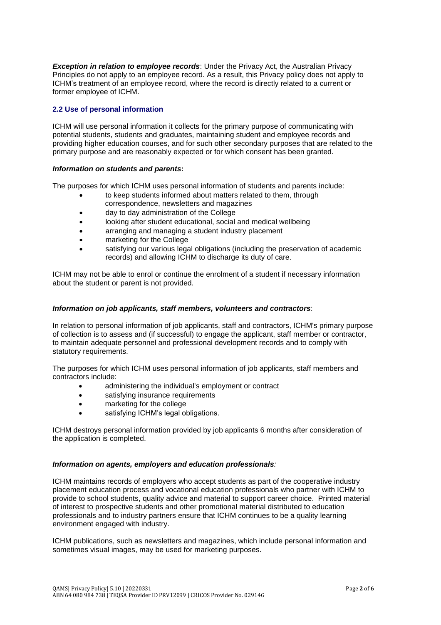**Exception in relation to employee records:** Under the Privacy Act, the Australian Privacy Principles do not apply to an employee record. As a result, this Privacy policy does not apply to ICHM's treatment of an employee record, where the record is directly related to a current or former employee of ICHM.

## **2.2 Use of personal information**

ICHM will use personal information it collects for the primary purpose of communicating with potential students, students and graduates, maintaining student and employee records and providing higher education courses, and for such other secondary purposes that are related to the primary purpose and are reasonably expected or for which consent has been granted.

### *Information on students and parents***:**

The purposes for which ICHM uses personal information of students and parents include:

- to keep students informed about matters related to them, through correspondence, newsletters and magazines
- day to day administration of the College
- looking after student educational, social and medical wellbeing
- arranging and managing a student industry placement
- marketing for the College
- satisfying our various legal obligations (including the preservation of academic records) and allowing ICHM to discharge its duty of care.

ICHM may not be able to enrol or continue the enrolment of a student if necessary information about the student or parent is not provided.

#### *Information on job applicants, staff members, volunteers and contractors*:

In relation to personal information of job applicants, staff and contractors, ICHM's primary purpose of collection is to assess and (if successful) to engage the applicant, staff member or contractor, to maintain adequate personnel and professional development records and to comply with statutory requirements.

The purposes for which ICHM uses personal information of job applicants, staff members and contractors include:

- administering the individual's employment or contract
- satisfying insurance requirements
- marketing for the college
- satisfying ICHM's legal obligations.

ICHM destroys personal information provided by job applicants 6 months after consideration of the application is completed.

### *Information on agents, employers and education professionals:*

ICHM maintains records of employers who accept students as part of the cooperative industry placement education process and vocational education professionals who partner with ICHM to provide to school students, quality advice and material to support career choice. Printed material of interest to prospective students and other promotional material distributed to education professionals and to industry partners ensure that ICHM continues to be a quality learning environment engaged with industry.

ICHM publications, such as newsletters and magazines, which include personal information and sometimes visual images, may be used for marketing purposes.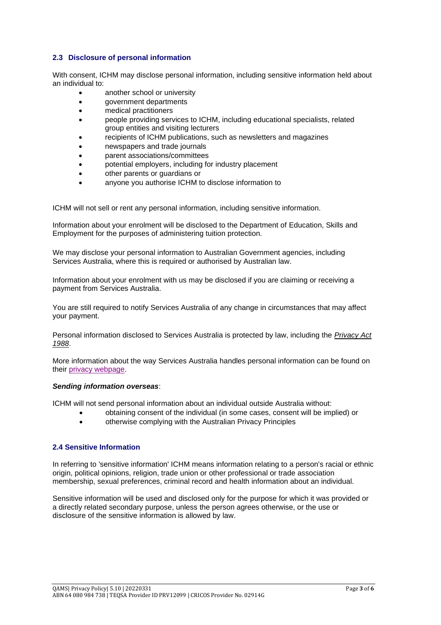## **2.3 Disclosure of personal information**

With consent, ICHM may disclose personal information, including sensitive information held about an individual to:

- another school or university
- government departments
- medical practitioners
- people providing services to ICHM, including educational specialists, related group entities and visiting lecturers
- recipients of ICHM publications, such as newsletters and magazines
- newspapers and trade journals
- parent associations/committees
- potential employers, including for industry placement
- other parents or guardians or
- anyone you authorise ICHM to disclose information to

ICHM will not sell or rent any personal information, including sensitive information.

Information about your enrolment will be disclosed to the Department of Education, Skills and Employment for the purposes of administering tuition protection.

We may disclose your personal information to Australian Government agencies, including Services Australia, where this is required or authorised by Australian law.

Information about your enrolment with us may be disclosed if you are claiming or receiving a payment from Services Australia.

You are still required to notify Services Australia of any change in circumstances that may affect your payment.

Personal information disclosed to Services Australia is protected by law, including the *[Privacy Act](https://www.oaic.gov.au/privacy/the-privacy-act/)  [1988](https://www.oaic.gov.au/privacy/the-privacy-act/)*.

More information about the way Services Australia handles personal information can be found on their [privacy webpage.](https://www.servicesaustralia.gov.au/individuals/privacy)

### *Sending information overseas*:

ICHM will not send personal information about an individual outside Australia without:

- obtaining consent of the individual (in some cases, consent will be implied) or
	- otherwise complying with the Australian Privacy Principles

### **2.4 Sensitive Information**

In referring to 'sensitive information' ICHM means information relating to a person's racial or ethnic origin, political opinions, religion, trade union or other professional or trade association membership, sexual preferences, criminal record and health information about an individual.

Sensitive information will be used and disclosed only for the purpose for which it was provided or a directly related secondary purpose, unless the person agrees otherwise, or the use or disclosure of the sensitive information is allowed by law.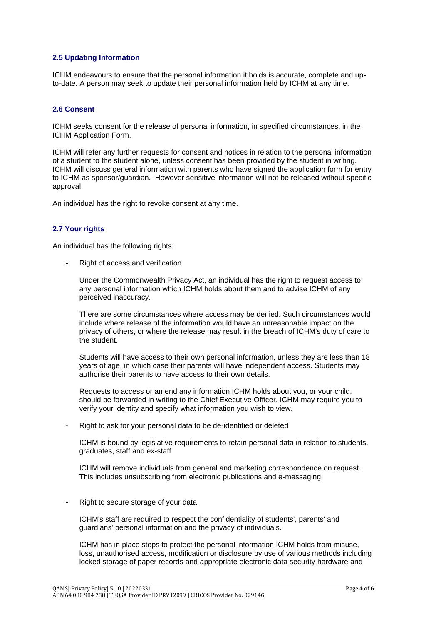#### **2.5 Updating Information**

ICHM endeavours to ensure that the personal information it holds is accurate, complete and upto-date. A person may seek to update their personal information held by ICHM at any time.

#### **2.6 Consent**

ICHM seeks consent for the release of personal information, in specified circumstances, in the ICHM Application Form.

ICHM will refer any further requests for consent and notices in relation to the personal information of a student to the student alone, unless consent has been provided by the student in writing. ICHM will discuss general information with parents who have signed the application form for entry to ICHM as sponsor/guardian. However sensitive information will not be released without specific approval.

An individual has the right to revoke consent at any time.

### **2.7 Your rights**

An individual has the following rights:

Right of access and verification

Under the Commonwealth Privacy Act, an individual has the right to request access to any personal information which ICHM holds about them and to advise ICHM of any perceived inaccuracy.

There are some circumstances where access may be denied. Such circumstances would include where release of the information would have an unreasonable impact on the privacy of others, or where the release may result in the breach of ICHM's duty of care to the student.

Students will have access to their own personal information, unless they are less than 18 years of age, in which case their parents will have independent access. Students may authorise their parents to have access to their own details.

Requests to access or amend any information ICHM holds about you, or your child, should be forwarded in writing to the Chief Executive Officer. ICHM may require you to verify your identity and specify what information you wish to view.

Right to ask for your personal data to be de-identified or deleted

ICHM is bound by legislative requirements to retain personal data in relation to students, graduates, staff and ex-staff.

ICHM will remove individuals from general and marketing correspondence on request. This includes unsubscribing from electronic publications and e-messaging.

Right to secure storage of your data

ICHM's staff are required to respect the confidentiality of students', parents' and guardians' personal information and the privacy of individuals.

ICHM has in place steps to protect the personal information ICHM holds from misuse, loss, unauthorised access, modification or disclosure by use of various methods including locked storage of paper records and appropriate electronic data security hardware and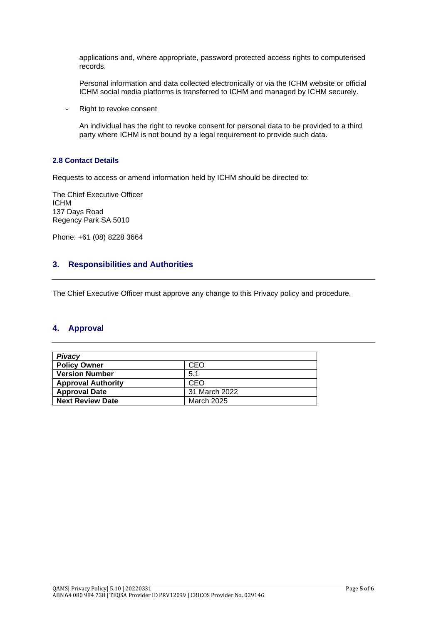applications and, where appropriate, password protected access rights to computerised records.

Personal information and data collected electronically or via the ICHM website or official ICHM social media platforms is transferred to ICHM and managed by ICHM securely.

Right to revoke consent

An individual has the right to revoke consent for personal data to be provided to a third party where ICHM is not bound by a legal requirement to provide such data.

#### **2.8 Contact Details**

Requests to access or amend information held by ICHM should be directed to:

The Chief Executive Officer ICHM 137 Days Road Regency Park SA 5010

Phone: +61 (08) 8228 3664

## **3. Responsibilities and Authorities**

The Chief Executive Officer must approve any change to this Privacy policy and procedure.

### **4. Approval**

| <b>Pivacy</b>             |               |
|---------------------------|---------------|
| <b>Policy Owner</b>       | CEO           |
| <b>Version Number</b>     | 5.1           |
| <b>Approval Authority</b> | CEO           |
| <b>Approval Date</b>      | 31 March 2022 |
| <b>Next Review Date</b>   | March 2025    |